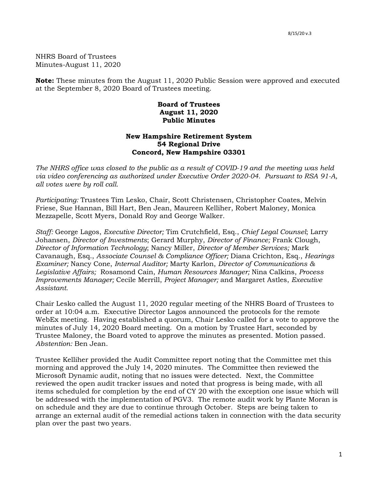NHRS Board of Trustees Minutes-August 11, 2020

**Note:** These minutes from the August 11, 2020 Public Session were approved and executed at the September 8, 2020 Board of Trustees meeting.

## **Board of Trustees August 11, 2020 Public Minutes**

## **New Hampshire Retirement System 54 Regional Drive Concord, New Hampshire 03301**

*The NHRS office was closed to the public as a result of COVID-19 and the meeting was held via video conferencing as authorized under Executive Order 2020-04. Pursuant to RSA 91-A, all votes were by roll call.*

*Participating:* Trustees Tim Lesko, Chair, Scott Christensen, Christopher Coates, Melvin Friese, Sue Hannan, Bill Hart, Ben Jean, Maureen Kelliher, Robert Maloney, Monica Mezzapelle, Scott Myers, Donald Roy and George Walker.

*Staff:* George Lagos, *Executive Director;* Tim Crutchfield, Esq., *Chief Legal Counsel*; Larry Johansen, *Director of Investments*; Gerard Murphy, *Director of Finance;* Frank Clough, *Director of Information Technology*; Nancy Miller, *Director of Member Services;* Mark Cavanaugh, Esq., *Associate Counsel & Compliance Officer;* Diana Crichton, Esq., *Hearings Examiner;* Nancy Cone, *Internal Auditor;* Marty Karlon, *Director of Communications & Legislative Affairs;* Rosamond Cain, *Human Resources Manager;* Nina Calkins, *Process Improvements Manager;* Cecile Merrill, *Project Manager;* and Margaret Astles, *Executive Assistant.* 

Chair Lesko called the August 11, 2020 regular meeting of the NHRS Board of Trustees to order at 10:04 a.m. Executive Director Lagos announced the protocols for the remote WebEx meeting. Having established a quorum, Chair Lesko called for a vote to approve the minutes of July 14, 2020 Board meeting. On a motion by Trustee Hart, seconded by Trustee Maloney, the Board voted to approve the minutes as presented. Motion passed. *Abstention:* Ben Jean.

Trustee Kelliher provided the Audit Committee report noting that the Committee met this morning and approved the July 14, 2020 minutes. The Committee then reviewed the Microsoft Dynamic audit, noting that no issues were detected. Next, the Committee reviewed the open audit tracker issues and noted that progress is being made, with all items scheduled for completion by the end of CY 20 with the exception one issue which will be addressed with the implementation of PGV3. The remote audit work by Plante Moran is on schedule and they are due to continue through October. Steps are being taken to arrange an external audit of the remedial actions taken in connection with the data security plan over the past two years.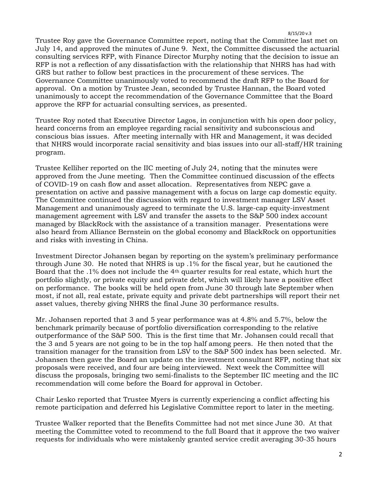Trustee Roy gave the Governance Committee report, noting that the Committee last met on July 14, and approved the minutes of June 9. Next, the Committee discussed the actuarial consulting services RFP, with Finance Director Murphy noting that the decision to issue an RFP is not a reflection of any dissatisfaction with the relationship that NHRS has had with GRS but rather to follow best practices in the procurement of these services. The Governance Committee unanimously voted to recommend the draft RFP to the Board for approval. On a motion by Trustee Jean, seconded by Trustee Hannan, the Board voted unanimously to accept the recommendation of the Governance Committee that the Board approve the RFP for actuarial consulting services, as presented.

Trustee Roy noted that Executive Director Lagos, in conjunction with his open door policy, heard concerns from an employee regarding racial sensitivity and subconscious and conscious bias issues. After meeting internally with HR and Management, it was decided that NHRS would incorporate racial sensitivity and bias issues into our all-staff/HR training program.

Trustee Kelliher reported on the IIC meeting of July 24, noting that the minutes were approved from the June meeting. Then the Committee continued discussion of the effects of COVID-19 on cash flow and asset allocation. Representatives from NEPC gave a presentation on active and passive management with a focus on large cap domestic equity. The Committee continued the discussion with regard to investment manager LSV Asset Management and unanimously agreed to terminate the U.S. large-cap equity-investment management agreement with LSV and transfer the assets to the S&P 500 index account managed by BlackRock with the assistance of a transition manager. Presentations were also heard from Alliance Bernstein on the global economy and BlackRock on opportunities and risks with investing in China.

Investment Director Johansen began by reporting on the system's preliminary performance through June 30. He noted that NHRS is up .1% for the fiscal year, but he cautioned the Board that the .1% does not include the 4th quarter results for real estate, which hurt the portfolio slightly, or private equity and private debt, which will likely have a positive effect on performance. The books will be held open from June 30 through late September when most, if not all, real estate, private equity and private debt partnerships will report their net asset values, thereby giving NHRS the final June 30 performance results.

Mr. Johansen reported that 3 and 5 year performance was at 4.8% and 5.7%, below the benchmark primarily because of portfolio diversification corresponding to the relative outperformance of the S&P 500. This is the first time that Mr. Johansen could recall that the 3 and 5 years are not going to be in the top half among peers. He then noted that the transition manager for the transition from LSV to the S&P 500 index has been selected. Mr. Johansen then gave the Board an update on the investment consultant RFP, noting that six proposals were received, and four are being interviewed. Next week the Committee will discuss the proposals, bringing two semi-finalists to the September IIC meeting and the IIC recommendation will come before the Board for approval in October.

Chair Lesko reported that Trustee Myers is currently experiencing a conflict affecting his remote participation and deferred his Legislative Committee report to later in the meeting.

Trustee Walker reported that the Benefits Committee had not met since June 30. At that meeting the Committee voted to recommend to the full Board that it approve the two waiver requests for individuals who were mistakenly granted service credit averaging 30-35 hours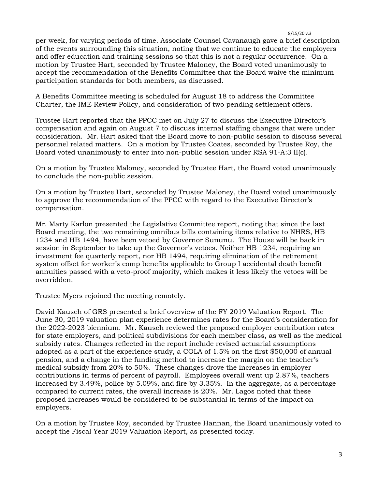per week, for varying periods of time. Associate Counsel Cavanaugh gave a brief description of the events surrounding this situation, noting that we continue to educate the employers and offer education and training sessions so that this is not a regular occurrence. On a motion by Trustee Hart, seconded by Trustee Maloney, the Board voted unanimously to accept the recommendation of the Benefits Committee that the Board waive the minimum participation standards for both members, as discussed.

A Benefits Committee meeting is scheduled for August 18 to address the Committee Charter, the IME Review Policy, and consideration of two pending settlement offers.

Trustee Hart reported that the PPCC met on July 27 to discuss the Executive Director's compensation and again on August 7 to discuss internal staffing changes that were under consideration. Mr. Hart asked that the Board move to non-public session to discuss several personnel related matters. On a motion by Trustee Coates, seconded by Trustee Roy, the Board voted unanimously to enter into non-public session under RSA 91-A:3 II(c).

On a motion by Trustee Maloney, seconded by Trustee Hart, the Board voted unanimously to conclude the non-public session.

On a motion by Trustee Hart, seconded by Trustee Maloney, the Board voted unanimously to approve the recommendation of the PPCC with regard to the Executive Director's compensation.

Mr. Marty Karlon presented the Legislative Committee report, noting that since the last Board meeting, the two remaining omnibus bills containing items relative to NHRS, HB 1234 and HB 1494, have been vetoed by Governor Sununu. The House will be back in session in September to take up the Governor's vetoes. Neither HB 1234, requiring an investment fee quarterly report, nor HB 1494, requiring elimination of the retirement system offset for worker's comp benefits applicable to Group I accidental death benefit annuities passed with a veto-proof majority, which makes it less likely the vetoes will be overridden.

Trustee Myers rejoined the meeting remotely.

David Kausch of GRS presented a brief overview of the FY 2019 Valuation Report. The June 30, 2019 valuation plan experience determines rates for the Board's consideration for the 2022-2023 biennium. Mr. Kausch reviewed the proposed employer contribution rates for state employers, and political subdivisions for each member class, as well as the medical subsidy rates. Changes reflected in the report include revised actuarial assumptions adopted as a part of the experience study, a COLA of 1.5% on the first \$50,000 of annual pension, and a change in the funding method to increase the margin on the teacher's medical subsidy from 20% to 50%. These changes drove the increases in employer contributions in terms of percent of payroll. Employees overall went up 2.87%, teachers increased by 3.49%, police by 5.09%, and fire by 3.35%. In the aggregate, as a percentage compared to current rates, the overall increase is 20%. Mr. Lagos noted that these proposed increases would be considered to be substantial in terms of the impact on employers.

On a motion by Trustee Roy, seconded by Trustee Hannan, the Board unanimously voted to accept the Fiscal Year 2019 Valuation Report, as presented today.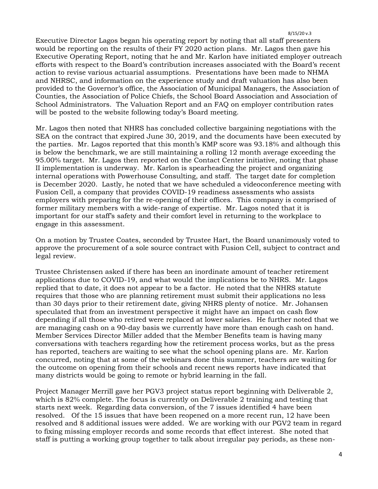Executive Director Lagos began his operating report by noting that all staff presenters would be reporting on the results of their FY 2020 action plans. Mr. Lagos then gave his Executive Operating Report, noting that he and Mr. Karlon have initiated employer outreach efforts with respect to the Board's contribution increases associated with the Board's recent action to revise various actuarial assumptions. Presentations have been made to NHMA and NHRSC, and information on the experience study and draft valuation has also been provided to the Governor's office, the Association of Municipal Managers, the Association of Counties, the Association of Police Chiefs, the School Board Association and Association of School Administrators. The Valuation Report and an FAQ on employer contribution rates will be posted to the website following today's Board meeting.

Mr. Lagos then noted that NHRS has concluded collective bargaining negotiations with the SEA on the contract that expired June 30, 2019, and the documents have been executed by the parties. Mr. Lagos reported that this month's KMP score was 93.18% and although this is below the benchmark, we are still maintaining a rolling 12 month average exceeding the 95.00% target. Mr. Lagos then reported on the Contact Center initiative, noting that phase II implementation is underway. Mr. Karlon is spearheading the project and organizing internal operations with Powerhouse Consulting, and staff. The target date for completion is December 2020. Lastly, he noted that we have scheduled a videoconference meeting with Fusion Cell, a company that provides COVID-19 readiness assessments who assists employers with preparing for the re-opening of their offices. This company is comprised of former military members with a wide-range of expertise. Mr. Lagos noted that it is important for our staff's safety and their comfort level in returning to the workplace to engage in this assessment.

On a motion by Trustee Coates, seconded by Trustee Hart, the Board unanimously voted to approve the procurement of a sole source contract with Fusion Cell, subject to contract and legal review.

Trustee Christensen asked if there has been an inordinate amount of teacher retirement applications due to COVID-19, and what would the implications be to NHRS. Mr. Lagos replied that to date, it does not appear to be a factor. He noted that the NHRS statute requires that those who are planning retirement must submit their applications no less than 30 days prior to their retirement date, giving NHRS plenty of notice. Mr. Johansen speculated that from an investment perspective it might have an impact on cash flow depending if all those who retired were replaced at lower salaries. He further noted that we are managing cash on a 90-day basis we currently have more than enough cash on hand. Member Services Director Miller added that the Member Benefits team is having many conversations with teachers regarding how the retirement process works, but as the press has reported, teachers are waiting to see what the school opening plans are. Mr. Karlon concurred, noting that at some of the webinars done this summer, teachers are waiting for the outcome on opening from their schools and recent news reports have indicated that many districts would be going to remote or hybrid learning in the fall.

Project Manager Merrill gave her PGV3 project status report beginning with Deliverable 2, which is 82% complete. The focus is currently on Deliverable 2 training and testing that starts next week. Regarding data conversion, of the 7 issues identified 4 have been resolved. Of the 15 issues that have been reopened on a more recent run, 12 have been resolved and 8 additional issues were added. We are working with our PGV2 team in regard to fixing missing employer records and some records that effect interest. She noted that staff is putting a working group together to talk about irregular pay periods, as these non-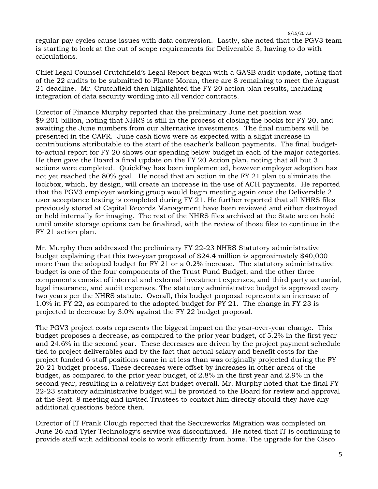8/15/20 v.3 regular pay cycles cause issues with data conversion. Lastly, she noted that the PGV3 team is starting to look at the out of scope requirements for Deliverable 3, having to do with

Chief Legal Counsel Crutchfield's Legal Report began with a GASB audit update, noting that of the 22 audits to be submitted to Plante Moran, there are 8 remaining to meet the August 21 deadline. Mr. Crutchfield then highlighted the FY 20 action plan results, including integration of data security wording into all vendor contracts.

calculations.

Director of Finance Murphy reported that the preliminary June net position was \$9.201 billion, noting that NHRS is still in the process of closing the books for FY 20, and awaiting the June numbers from our alternative investments. The final numbers will be presented in the CAFR. June cash flows were as expected with a slight increase in contributions attributable to the start of the teacher's balloon payments. The final budgetto-actual report for FY 20 shows our spending below budget in each of the major categories. He then gave the Board a final update on the FY 20 Action plan, noting that all but 3 actions were completed. QuickPay has been implemented, however employer adoption has not yet reached the 80% goal. He noted that an action in the FY 21 plan to eliminate the lockbox, which, by design, will create an increase in the use of ACH payments. He reported that the PGV3 employer working group would begin meeting again once the Deliverable 2 user acceptance testing is completed during FY 21. He further reported that all NHRS files previously stored at Capital Records Management have been reviewed and either destroyed or held internally for imaging. The rest of the NHRS files archived at the State are on hold until onsite storage options can be finalized, with the review of those files to continue in the FY 21 action plan.

Mr. Murphy then addressed the preliminary FY 22-23 NHRS Statutory administrative budget explaining that this two-year proposal of \$24.4 million is approximately \$40,000 more than the adopted budget for FY 21 or a 0.2% increase. The statutory administrative budget is one of the four components of the Trust Fund Budget, and the other three components consist of internal and external investment expenses, and third party actuarial, legal insurance, and audit expenses. The statutory administrative budget is approved every two years per the NHRS statute. Overall, this budget proposal represents an increase of 1.0% in FY 22, as compared to the adopted budget for FY 21. The change in FY 23 is projected to decrease by 3.0% against the FY 22 budget proposal.

The PGV3 project costs represents the biggest impact on the year-over-year change. This budget proposes a decrease, as compared to the prior year budget, of 5.2% in the first year and 24.6% in the second year. These decreases are driven by the project payment schedule tied to project deliverables and by the fact that actual salary and benefit costs for the project funded 6 staff positions came in at less than was originally projected during the FY 20-21 budget process. These decreases were offset by increases in other areas of the budget, as compared to the prior year budget, of 2.8% in the first year and 2.9% in the second year, resulting in a relatively flat budget overall. Mr. Murphy noted that the final FY 22-23 statutory administrative budget will be provided to the Board for review and approval at the Sept. 8 meeting and invited Trustees to contact him directly should they have any additional questions before then.

Director of IT Frank Clough reported that the Secureworks Migration was completed on June 26 and Tyler Technology's service was discontinued. He noted that IT is continuing to provide staff with additional tools to work efficiently from home. The upgrade for the Cisco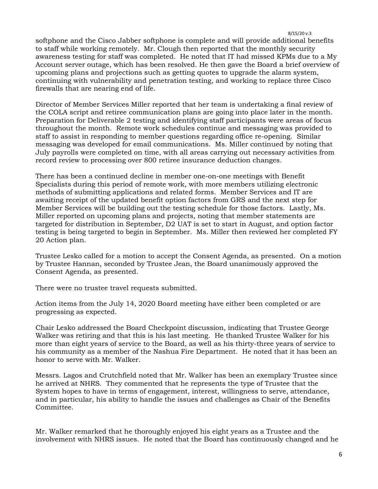softphone and the Cisco Jabber softphone is complete and will provide additional benefits to staff while working remotely. Mr. Clough then reported that the monthly security awareness testing for staff was completed. He noted that IT had missed KPMs due to a My Account server outage, which has been resolved. He then gave the Board a brief overview of upcoming plans and projections such as getting quotes to upgrade the alarm system, continuing with vulnerability and penetration testing, and working to replace three Cisco firewalls that are nearing end of life.

Director of Member Services Miller reported that her team is undertaking a final review of the COLA script and retiree communication plans are going into place later in the month. Preparation for Deliverable 2 testing and identifying staff participants were areas of focus throughout the month. Remote work schedules continue and messaging was provided to staff to assist in responding to member questions regarding office re-opening. Similar messaging was developed for email communications. Ms. Miller continued by noting that July payrolls were completed on time, with all areas carrying out necessary activities from record review to processing over 800 retiree insurance deduction changes.

There has been a continued decline in member one-on-one meetings with Benefit Specialists during this period of remote work, with more members utilizing electronic methods of submitting applications and related forms. Member Services and IT are awaiting receipt of the updated benefit option factors from GRS and the next step for Member Services will be building out the testing schedule for those factors. Lastly, Ms. Miller reported on upcoming plans and projects, noting that member statements are targeted for distribution in September, D2 UAT is set to start in August, and option factor testing is being targeted to begin in September. Ms. Miller then reviewed her completed FY 20 Action plan.

Trustee Lesko called for a motion to accept the Consent Agenda, as presented. On a motion by Trustee Hannan, seconded by Trustee Jean, the Board unanimously approved the Consent Agenda, as presented.

There were no trustee travel requests submitted.

Action items from the July 14, 2020 Board meeting have either been completed or are progressing as expected.

Chair Lesko addressed the Board Checkpoint discussion, indicating that Trustee George Walker was retiring and that this is his last meeting. He thanked Trustee Walker for his more than eight years of service to the Board, as well as his thirty-three years of service to his community as a member of the Nashua Fire Department. He noted that it has been an honor to serve with Mr. Walker.

Messrs. Lagos and Crutchfield noted that Mr. Walker has been an exemplary Trustee since he arrived at NHRS. They commented that he represents the type of Trustee that the System hopes to have in terms of engagement, interest, willingness to serve, attendance, and in particular, his ability to handle the issues and challenges as Chair of the Benefits Committee.

Mr. Walker remarked that he thoroughly enjoyed his eight years as a Trustee and the involvement with NHRS issues. He noted that the Board has continuously changed and he